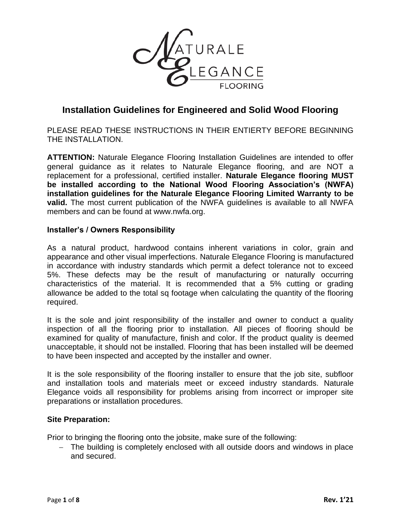

# **Installation Guidelines for Engineered and Solid Wood Flooring**

PLEASE READ THESE INSTRUCTIONS IN THEIR ENTIERTY BEFORE BEGINNING THE INSTALLATION.

**ATTENTION:** Naturale Elegance Flooring Installation Guidelines are intended to offer general guidance as it relates to Naturale Elegance flooring, and are NOT a replacement for a professional, certified installer. **Naturale Elegance flooring MUST be installed according to the National Wood Flooring Association's (NWFA) installation guidelines for the Naturale Elegance Flooring Limited Warranty to be valid.** The most current publication of the NWFA guidelines is available to all NWFA members and can be found at www.nwfa.org.

#### **Installer's / Owners Responsibility**

As a natural product, hardwood contains inherent variations in color, grain and appearance and other visual imperfections. Naturale Elegance Flooring is manufactured in accordance with industry standards which permit a defect tolerance not to exceed 5%. These defects may be the result of manufacturing or naturally occurring characteristics of the material. It is recommended that a 5% cutting or grading allowance be added to the total sq footage when calculating the quantity of the flooring required.

It is the sole and joint responsibility of the installer and owner to conduct a quality inspection of all the flooring prior to installation. All pieces of flooring should be examined for quality of manufacture, finish and color. If the product quality is deemed unacceptable, it should not be installed. Flooring that has been installed will be deemed to have been inspected and accepted by the installer and owner.

It is the sole responsibility of the flooring installer to ensure that the job site, subfloor and installation tools and materials meet or exceed industry standards. Naturale Elegance voids all responsibility for problems arising from incorrect or improper site preparations or installation procedures.

#### **Site Preparation:**

Prior to bringing the flooring onto the jobsite, make sure of the following:

− The building is completely enclosed with all outside doors and windows in place and secured.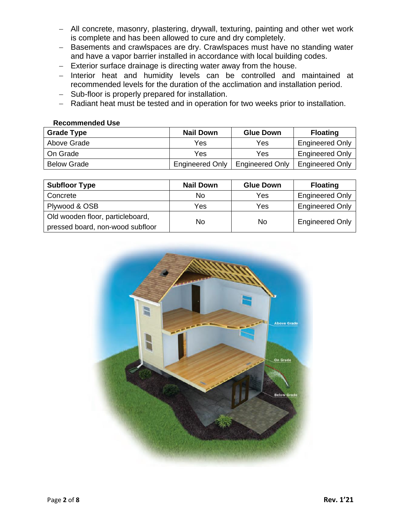- − All concrete, masonry, plastering, drywall, texturing, painting and other wet work is complete and has been allowed to cure and dry completely.
- − Basements and crawlspaces are dry. Crawlspaces must have no standing water and have a vapor barrier installed in accordance with local building codes.
- − Exterior surface drainage is directing water away from the house.
- − Interior heat and humidity levels can be controlled and maintained at recommended levels for the duration of the acclimation and installation period.
- − Sub-floor is properly prepared for installation.
- − Radiant heat must be tested and in operation for two weeks prior to installation.

#### **Recommended Use**

| <b>Grade Type</b>  | <b>Nail Down</b>       | <b>Glue Down</b>       | <b>Floating</b>        |
|--------------------|------------------------|------------------------|------------------------|
| Above Grade        | Yes                    | Yes                    | <b>Engineered Only</b> |
| On Grade           | Yes                    | Yes                    | <b>Engineered Only</b> |
| <b>Below Grade</b> | <b>Engineered Only</b> | <b>Engineered Only</b> | <b>Engineered Only</b> |

| <b>Subfloor Type</b>             | <b>Nail Down</b> | <b>Glue Down</b> | <b>Floating</b>        |
|----------------------------------|------------------|------------------|------------------------|
| Concrete                         | No               | Yes              | <b>Engineered Only</b> |
| Plywood & OSB                    | Yes              | Yes              | <b>Engineered Only</b> |
| Old wooden floor, particleboard, | No               | No               | <b>Engineered Only</b> |
| pressed board, non-wood subfloor |                  |                  |                        |

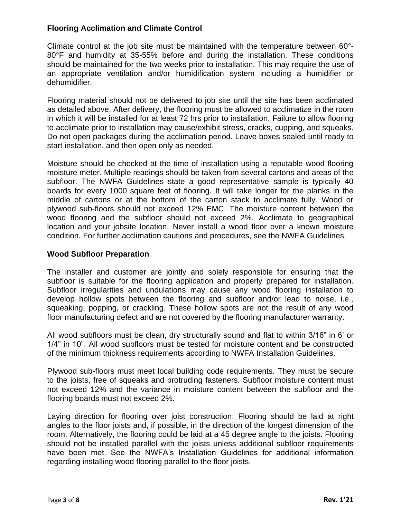# **Flooring Acclimation and Climate Control**

Climate control at the job site must be maintained with the temperature between 60°- 80°F and humidity at 35-55% before and during the installation. These conditions should be maintained for the two weeks prior to installation. This may require the use of an appropriate ventilation and/or humidification system including a humidifier or dehumidifier.

Flooring material should not be delivered to job site until the site has been acclimated as detailed above. After delivery, the flooring must be allowed to acclimatize in the room in which it will be installed for at least 72 hrs prior to installation. Failure to allow flooring to acclimate prior to installation may cause/exhibit stress, cracks, cupping, and squeaks. Do not open packages during the acclimation period. Leave boxes sealed until ready to start installation, and then open only as needed.

Moisture should be checked at the time of installation using a reputable wood flooring moisture meter. Multiple readings should be taken from several cartons and areas of the subfloor. The NWFA Guidelines state a good representative sample is typically 40 boards for every 1000 square feet of flooring. It will take longer for the planks in the middle of cartons or at the bottom of the carton stack to acclimate fully. Wood or plywood sub-floors should not exceed 12% EMC. The moisture content between the wood flooring and the subfloor should not exceed 2%. Acclimate to geographical location and your jobsite location. Never install a wood floor over a known moisture condition. For further acclimation cautions and procedures, see the NWFA Guidelines.

## **Wood Subfloor Preparation**

The installer and customer are jointly and solely responsible for ensuring that the subfloor is suitable for the flooring application and properly prepared for installation. Subfloor irregularities and undulations may cause any wood flooring installation to develop hollow spots between the flooring and subfloor and/or lead to noise, i.e., squeaking, popping, or crackling. These hollow spots are not the result of any wood floor manufacturing defect and are not covered by the flooring manufacturer warranty.

All wood subfloors must be clean, dry structurally sound and flat to within 3/16" in 6' or 1/4" in 10". All wood subfloors must be tested for moisture content and be constructed of the minimum thickness requirements according to NWFA Installation Guidelines.

Plywood sub-floors must meet local building code requirements. They must be secure to the joists, free of squeaks and protruding fasteners. Subfloor moisture content must not exceed 12% and the variance in moisture content between the subfloor and the flooring boards must not exceed 2%.

Laying direction for flooring over joist construction: Flooring should be laid at right angles to the floor joists and, if possible, in the direction of the longest dimension of the room. Alternatively, the flooring could be laid at a 45 degree angle to the joists. Flooring should not be installed parallel with the joists unless additional subfloor requirements have been met. See the NWFA's Installation Guidelines for additional information regarding installing wood flooring parallel to the floor joists.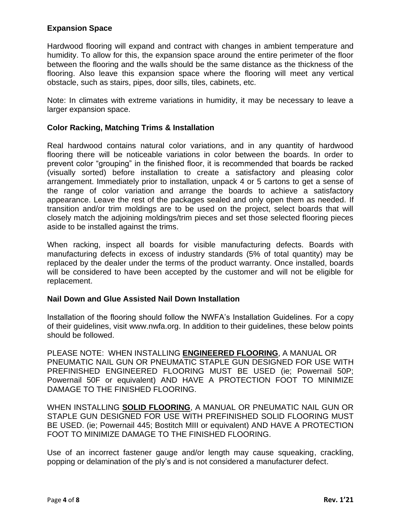# **Expansion Space**

Hardwood flooring will expand and contract with changes in ambient temperature and humidity. To allow for this, the expansion space around the entire perimeter of the floor between the flooring and the walls should be the same distance as the thickness of the flooring. Also leave this expansion space where the flooring will meet any vertical obstacle, such as stairs, pipes, door sills, tiles, cabinets, etc.

Note: In climates with extreme variations in humidity, it may be necessary to leave a larger expansion space.

## **Color Racking, Matching Trims & Installation**

Real hardwood contains natural color variations, and in any quantity of hardwood flooring there will be noticeable variations in color between the boards. In order to prevent color "grouping" in the finished floor, it is recommended that boards be racked (visually sorted) before installation to create a satisfactory and pleasing color arrangement. Immediately prior to installation, unpack 4 or 5 cartons to get a sense of the range of color variation and arrange the boards to achieve a satisfactory appearance. Leave the rest of the packages sealed and only open them as needed. If transition and/or trim moldings are to be used on the project, select boards that will closely match the adjoining moldings/trim pieces and set those selected flooring pieces aside to be installed against the trims.

When racking, inspect all boards for visible manufacturing defects. Boards with manufacturing defects in excess of industry standards (5% of total quantity) may be replaced by the dealer under the terms of the product warranty. Once installed, boards will be considered to have been accepted by the customer and will not be eligible for replacement.

#### **Nail Down and Glue Assisted Nail Down Installation**

Installation of the flooring should follow the NWFA's Installation Guidelines. For a copy of their guidelines, visit www.nwfa.org. In addition to their guidelines, these below points should be followed.

PLEASE NOTE: WHEN INSTALLING **ENGINEERED FLOORING**, A MANUAL OR PNEUMATIC NAIL GUN OR PNEUMATIC STAPLE GUN DESIGNED FOR USE WITH PREFINISHED ENGINEERED FLOORING MUST BE USED (ie; Powernail 50P; Powernail 50F or equivalent) AND HAVE A PROTECTION FOOT TO MINIMIZE DAMAGE TO THE FINISHED FLOORING.

WHEN INSTALLING **SOLID FLOORING**, A MANUAL OR PNEUMATIC NAIL GUN OR STAPLE GUN DESIGNED FOR USE WITH PREFINISHED SOLID FLOORING MUST BE USED. (ie; Powernail 445; Bostitch MIII or equivalent) AND HAVE A PROTECTION FOOT TO MINIMIZE DAMAGE TO THE FINISHED FLOORING.

Use of an incorrect fastener gauge and/or length may cause squeaking, crackling, popping or delamination of the ply's and is not considered a manufacturer defect.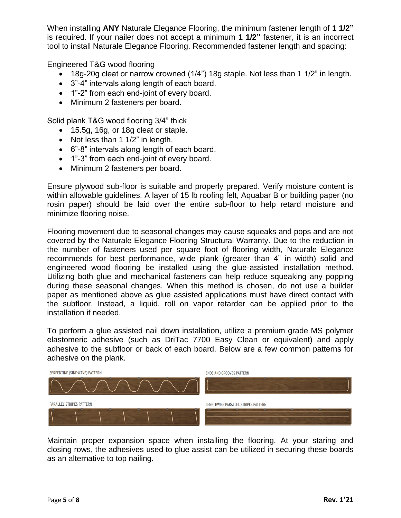When installing **ANY** Naturale Elegance Flooring, the minimum fastener length of **1 1/2"** is required. If your nailer does not accept a minimum **1 1/2"** fastener, it is an incorrect tool to install Naturale Elegance Flooring. Recommended fastener length and spacing:

Engineered T&G wood flooring

- 18g-20g cleat or narrow crowned (1/4") 18g staple. Not less than 1 1/2" in length.
- 3"-4" intervals along length of each board.
- 1"-2" from each end-joint of every board.
- Minimum 2 fasteners per board.

Solid plank T&G wood flooring 3/4" thick

- 15.5g, 16g, or 18g cleat or staple.
- Not less than 1 1/2" in length.
- 6"-8" intervals along length of each board.
- 1"-3" from each end-joint of every board.
- Minimum 2 fasteners per board.

Ensure plywood sub-floor is suitable and properly prepared. Verify moisture content is within allowable guidelines. A layer of 15 lb roofing felt, Aquabar B or building paper (no rosin paper) should be laid over the entire sub-floor to help retard moisture and minimize flooring noise.

Flooring movement due to seasonal changes may cause squeaks and pops and are not covered by the Naturale Elegance Flooring Structural Warranty. Due to the reduction in the number of fasteners used per square foot of flooring width, Naturale Elegance recommends for best performance, wide plank (greater than 4" in width) solid and engineered wood flooring be installed using the glue-assisted installation method. Utilizing both glue and mechanical fasteners can help reduce squeaking any popping during these seasonal changes. When this method is chosen, do not use a builder paper as mentioned above as glue assisted applications must have direct contact with the subfloor. Instead, a liquid, roll on vapor retarder can be applied prior to the installation if needed.

To perform a glue assisted nail down installation, utilize a premium grade MS polymer elastomeric adhesive (such as DriTac 7700 Easy Clean or equivalent) and apply adhesive to the subfloor or back of each board. Below are a few common patterns for adhesive on the plank.



Maintain proper expansion space when installing the flooring. At your staring and closing rows, the adhesives used to glue assist can be utilized in securing these boards as an alternative to top nailing.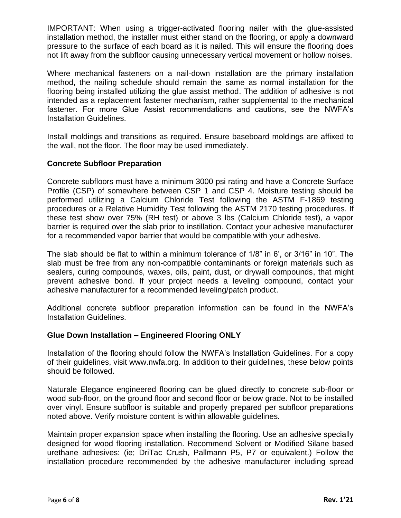IMPORTANT: When using a trigger-activated flooring nailer with the glue-assisted installation method, the installer must either stand on the flooring, or apply a downward pressure to the surface of each board as it is nailed. This will ensure the flooring does not lift away from the subfloor causing unnecessary vertical movement or hollow noises.

Where mechanical fasteners on a nail-down installation are the primary installation method, the nailing schedule should remain the same as normal installation for the flooring being installed utilizing the glue assist method. The addition of adhesive is not intended as a replacement fastener mechanism, rather supplemental to the mechanical fastener. For more Glue Assist recommendations and cautions, see the NWFA's Installation Guidelines.

Install moldings and transitions as required. Ensure baseboard moldings are affixed to the wall, not the floor. The floor may be used immediately.

# **Concrete Subfloor Preparation**

Concrete subfloors must have a minimum 3000 psi rating and have a Concrete Surface Profile (CSP) of somewhere between CSP 1 and CSP 4. Moisture testing should be performed utilizing a Calcium Chloride Test following the ASTM F-1869 testing procedures or a Relative Humidity Test following the ASTM 2170 testing procedures. If these test show over 75% (RH test) or above 3 lbs (Calcium Chloride test), a vapor barrier is required over the slab prior to instillation. Contact your adhesive manufacturer for a recommended vapor barrier that would be compatible with your adhesive.

The slab should be flat to within a minimum tolerance of 1/8" in 6', or 3/16" in 10". The slab must be free from any non-compatible contaminants or foreign materials such as sealers, curing compounds, waxes, oils, paint, dust, or drywall compounds, that might prevent adhesive bond. If your project needs a leveling compound, contact your adhesive manufacturer for a recommended leveling/patch product.

Additional concrete subfloor preparation information can be found in the NWFA's Installation Guidelines.

## **Glue Down Installation – Engineered Flooring ONLY**

Installation of the flooring should follow the NWFA's Installation Guidelines. For a copy of their guidelines, visit www.nwfa.org. In addition to their guidelines, these below points should be followed.

Naturale Elegance engineered flooring can be glued directly to concrete sub-floor or wood sub-floor, on the ground floor and second floor or below grade. Not to be installed over vinyl. Ensure subfloor is suitable and properly prepared per subfloor preparations noted above. Verify moisture content is within allowable guidelines.

Maintain proper expansion space when installing the flooring. Use an adhesive specially designed for wood flooring installation. Recommend Solvent or Modified Silane based urethane adhesives: (ie; DriTac Crush, Pallmann P5, P7 or equivalent.) Follow the installation procedure recommended by the adhesive manufacturer including spread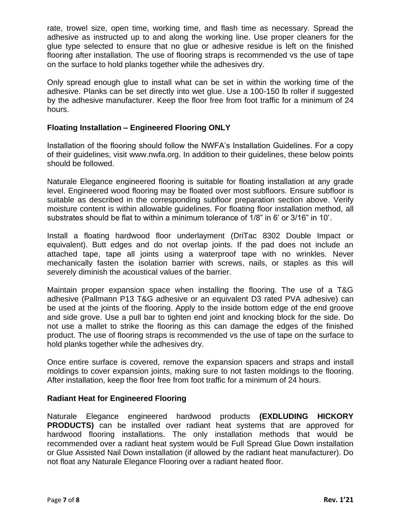rate, trowel size, open time, working time, and flash time as necessary. Spread the adhesive as instructed up to and along the working line. Use proper cleaners for the glue type selected to ensure that no glue or adhesive residue is left on the finished flooring after installation. The use of flooring straps is recommended vs the use of tape on the surface to hold planks together while the adhesives dry.

Only spread enough glue to install what can be set in within the working time of the adhesive. Planks can be set directly into wet glue. Use a 100-150 lb roller if suggested by the adhesive manufacturer. Keep the floor free from foot traffic for a minimum of 24 hours.

# **Floating Installation – Engineered Flooring ONLY**

Installation of the flooring should follow the NWFA's Installation Guidelines. For a copy of their guidelines, visit www.nwfa.org. In addition to their guidelines, these below points should be followed.

Naturale Elegance engineered flooring is suitable for floating installation at any grade level. Engineered wood flooring may be floated over most subfloors. Ensure subfloor is suitable as described in the corresponding subfloor preparation section above. Verify moisture content is within allowable guidelines. For floating floor installation method, all substrates should be flat to within a minimum tolerance of 1/8" in 6' or 3/16" in 10'.

Install a floating hardwood floor underlayment (DriTac 8302 Double Impact or equivalent). Butt edges and do not overlap joints. If the pad does not include an attached tape, tape all joints using a waterproof tape with no wrinkles. Never mechanically fasten the isolation barrier with screws, nails, or staples as this will severely diminish the acoustical values of the barrier.

Maintain proper expansion space when installing the flooring. The use of a T&G adhesive (Pallmann P13 T&G adhesive or an equivalent D3 rated PVA adhesive) can be used at the joints of the flooring. Apply to the inside bottom edge of the end groove and side grove. Use a pull bar to tighten end joint and knocking block for the side. Do not use a mallet to strike the flooring as this can damage the edges of the finished product. The use of flooring straps is recommended vs the use of tape on the surface to hold planks together while the adhesives dry.

Once entire surface is covered, remove the expansion spacers and straps and install moldings to cover expansion joints, making sure to not fasten moldings to the flooring. After installation, keep the floor free from foot traffic for a minimum of 24 hours.

## **Radiant Heat for Engineered Flooring**

Naturale Elegance engineered hardwood products **(EXDLUDING HICKORY PRODUCTS)** can be installed over radiant heat systems that are approved for hardwood flooring installations. The only installation methods that would be recommended over a radiant heat system would be Full Spread Glue Down installation or Glue Assisted Nail Down installation (if allowed by the radiant heat manufacturer). Do not float any Naturale Elegance Flooring over a radiant heated floor.